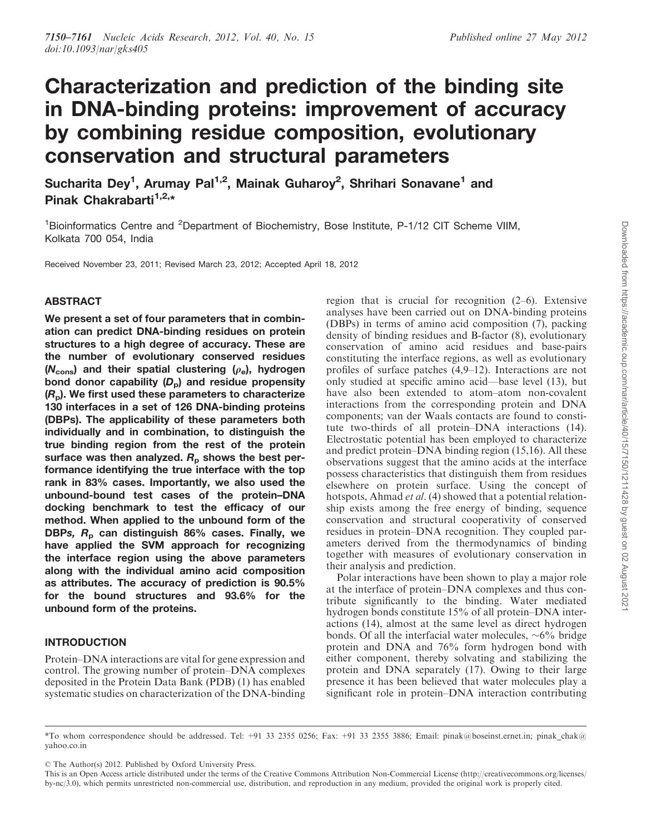# Characterization and prediction of the binding site in DNA-binding proteins: improvement of accuracy by combining residue composition, evolutionary conservation and structural parameters

Sucharita Dey<sup>1</sup>, Arumay Pal<sup>1,2</sup>, Mainak Guharoy<sup>2</sup>, Shrihari Sonavane<sup>1</sup> and Pinak Chakrabarti $1,2,*$ 

<sup>1</sup>Bioinformatics Centre and <sup>2</sup>Department of Biochemistry, Bose Institute, P-1/12 CIT Scheme VIIM, Kolkata 700 054, India

Received November 23, 2011; Revised March 23, 2012; Accepted April 18, 2012

# ABSTRACT

We present a set of four parameters that in combination can predict DNA-binding residues on protein structures to a high degree of accuracy. These are the number of evolutionary conserved residues  $(N<sub>cons</sub>)$  and their spatial clustering  $(\rho<sub>e</sub>)$ , hydrogen bond donor capability  $(D<sub>p</sub>)$  and residue propensity  $(R<sub>p</sub>)$ . We first used these parameters to characterize 130 interfaces in a set of 126 DNA-binding proteins (DBPs). The applicability of these parameters both individually and in combination, to distinguish the true binding region from the rest of the protein surface was then analyzed.  $R<sub>p</sub>$  shows the best performance identifying the true interface with the top rank in 83% cases. Importantly, we also used the unbound-bound test cases of the protein–DNA docking benchmark to test the efficacy of our method. When applied to the unbound form of the DBPs,  $R_p$  can distinguish 86% cases. Finally, we have applied the SVM approach for recognizing the interface region using the above parameters along with the individual amino acid composition as attributes. The accuracy of prediction is 90.5% for the bound structures and 93.6% for the unbound form of the proteins.

# INTRODUCTION

Protein–DNA interactions are vital for gene expression and control. The growing number of protein–DNA complexes deposited in the Protein Data Bank (PDB) (1) has enabled systematic studies on characterization of the DNA-binding region that is crucial for recognition (2–6). Extensive analyses have been carried out on DNA-binding proteins (DBPs) in terms of amino acid composition (7), packing density of binding residues and B-factor (8), evolutionary conservation of amino acid residues and base-pairs constituting the interface regions, as well as evolutionary profiles of surface patches (4,9–12). Interactions are not only studied at specific amino acid—base level (13), but have also been extended to atom–atom non-covalent interactions from the corresponding protein and DNA components; van der Waals contacts are found to constitute two-thirds of all protein–DNA interactions (14). Electrostatic potential has been employed to characterize and predict protein–DNA binding region (15,16). All these observations suggest that the amino acids at the interface possess characteristics that distinguish them from residues elsewhere on protein surface. Using the concept of hotspots, Ahmad *et al.* (4) showed that a potential relationship exists among the free energy of binding, sequence conservation and structural cooperativity of conserved residues in protein–DNA recognition. They coupled parameters derived from the thermodynamics of binding together with measures of evolutionary conservation in their analysis and prediction.

Polar interactions have been shown to play a major role at the interface of protein–DNA complexes and thus contribute significantly to the binding. Water mediated hydrogen bonds constitute 15% of all protein–DNA interactions (14), almost at the same level as direct hydrogen bonds. Of all the interfacial water molecules,  $\sim 6\%$  bridge protein and DNA and 76% form hydrogen bond with either component, thereby solvating and stabilizing the protein and DNA separately (17). Owing to their large presence it has been believed that water molecules play a significant role in protein–DNA interaction contributing

 $©$  The Author(s) 2012. Published by Oxford University Press.

<sup>\*</sup>To whom correspondence should be addressed. Tel: +91 33 2355 0256; Fax: +91 33 2355 3886; Email: pinak@boseinst.ernet.in; pinak\_chak@ yahoo.co.in

This is an Open Access article distributed under the terms of the Creative Commons Attribution Non-Commercial License (http://creativecommons.org/licenses/ by-nc/3.0), which permits unrestricted non-commercial use, distribution, and reproduction in any medium, provided the original work is properly cited.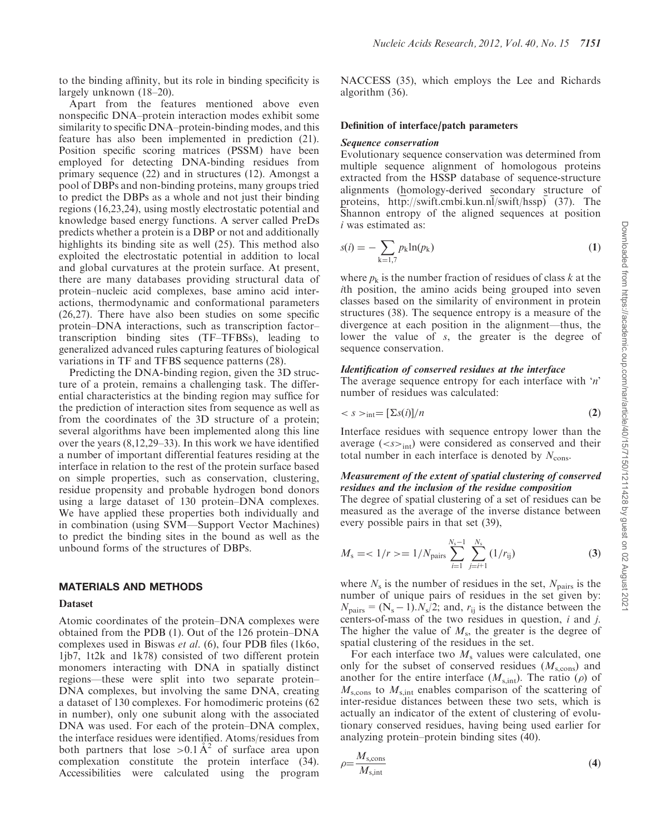to the binding affinity, but its role in binding specificity is largely unknown (18–20).

Apart from the features mentioned above even nonspecific DNA–protein interaction modes exhibit some similarity to specific DNA–protein-binding modes, and this feature has also been implemented in prediction (21). Position specific scoring matrices (PSSM) have been employed for detecting DNA-binding residues from primary sequence (22) and in structures (12). Amongst a pool of DBPs and non-binding proteins, many groups tried to predict the DBPs as a whole and not just their binding regions (16,23,24), using mostly electrostatic potential and knowledge based energy functions. A server called PreDs predicts whether a protein is a DBP or not and additionally highlights its binding site as well (25). This method also exploited the electrostatic potential in addition to local and global curvatures at the protein surface. At present, there are many databases providing structural data of protein–nucleic acid complexes, base amino acid interactions, thermodynamic and conformational parameters (26,27). There have also been studies on some specific protein–DNA interactions, such as transcription factor– transcription binding sites (TF–TFBSs), leading to generalized advanced rules capturing features of biological variations in TF and TFBS sequence patterns (28).

Predicting the DNA-binding region, given the 3D structure of a protein, remains a challenging task. The differential characteristics at the binding region may suffice for the prediction of interaction sites from sequence as well as from the coordinates of the 3D structure of a protein; several algorithms have been implemented along this line over the years (8,12,29–33). In this work we have identified a number of important differential features residing at the interface in relation to the rest of the protein surface based on simple properties, such as conservation, clustering, residue propensity and probable hydrogen bond donors using a large dataset of 130 protein–DNA complexes. We have applied these properties both individually and in combination (using SVM—Support Vector Machines) to predict the binding sites in the bound as well as the unbound forms of the structures of DBPs.

# MATERIALS AND METHODS

## Dataset

Atomic coordinates of the protein–DNA complexes were obtained from the PDB (1). Out of the 126 protein–DNA complexes used in Biswas *et al.* (6), four PDB files (1k6o, 1jb7, 1t2k and 1k78) consisted of two different protein monomers interacting with DNA in spatially distinct regions—these were split into two separate protein– DNA complexes, but involving the same DNA, creating a dataset of 130 complexes. For homodimeric proteins (62 in number), only one subunit along with the associated DNA was used. For each of the protein–DNA complex, the interface residues were identified. Atoms/residues from both partners that lose > 0.1  $A^2$  of surface area upon complexation constitute the protein interface (34). Accessibilities were calculated using the program

NACCESS (35), which employs the Lee and Richards algorithm (36).

## Definition of interface/patch parameters

## Sequence conservation

Evolutionary sequence conservation was determined from multiple sequence alignment of homologous proteins extracted from the HSSP database of sequence-structure alignments (homology-derived secondary structure of proteins, http://swift.cmbi.kun.nl/swift/hssp) (37). The Shannon entropy of the aligned sequences at position *i* was estimated as:

$$
s(i) = -\sum_{k=1,7} p_k \ln(p_k)
$$
 (1)

where  $p_k$  is the number fraction of residues of class  $k$  at the *i*th position, the amino acids being grouped into seven classes based on the similarity of environment in protein structures (38). The sequence entropy is a measure of the divergence at each position in the alignment—thus, the lower the value of *s*, the greater is the degree of sequence conservation.

## Identification of conserved residues at the interface

The average sequence entropy for each interface with '*n*' number of residues was calculated:

$$
\langle s \rangle_{\text{int}} = [\Sigma s(i)]/n \tag{2}
$$

Interface residues with sequence entropy lower than the average  $(*s*)<sub>int</sub>$  were considered as conserved and their total number in each interface is denoted by  $N_{\text{cons}}$ .

# Measurement of the extent of spatial clustering of conserved residues and the inclusion of the residue composition

The degree of spatial clustering of a set of residues can be measured as the average of the inverse distance between every possible pairs in that set (39),

$$
M_{\rm s} = \langle 1/r \rangle = 1/N_{\rm pairs} \sum_{i=1}^{N_{\rm s}-1} \sum_{j=i+1}^{N_{\rm s}} (1/r_{\rm ij})
$$
 (3)

where  $N_s$  is the number of residues in the set,  $N_{\text{pairs}}$  is the number of unique pairs of residues in the set given by:  $N_{\text{pairs}} = (N_{\text{s}} - 1) \cdot N_{\text{s}}/2$ ; and,  $r_{\text{ij}}$  is the distance between the centers-of-mass of the two residues in question, *i* and *j*. The higher the value of  $M_s$ , the greater is the degree of spatial clustering of the residues in the set.

For each interface two  $M<sub>s</sub>$  values were calculated, one only for the subset of conserved residues  $(M_{\text{s,cons}})$  and another for the entire interface  $(M_{s,int})$ . The ratio  $(\rho)$  of *M*s,cons to *M*s,int enables comparison of the scattering of inter-residue distances between these two sets, which is actually an indicator of the extent of clustering of evolutionary conserved residues, having being used earlier for analyzing protein–protein binding sites (40).

$$
\rho = \frac{M_{\text{s,cons}}}{M_{\text{s,int}}} \tag{4}
$$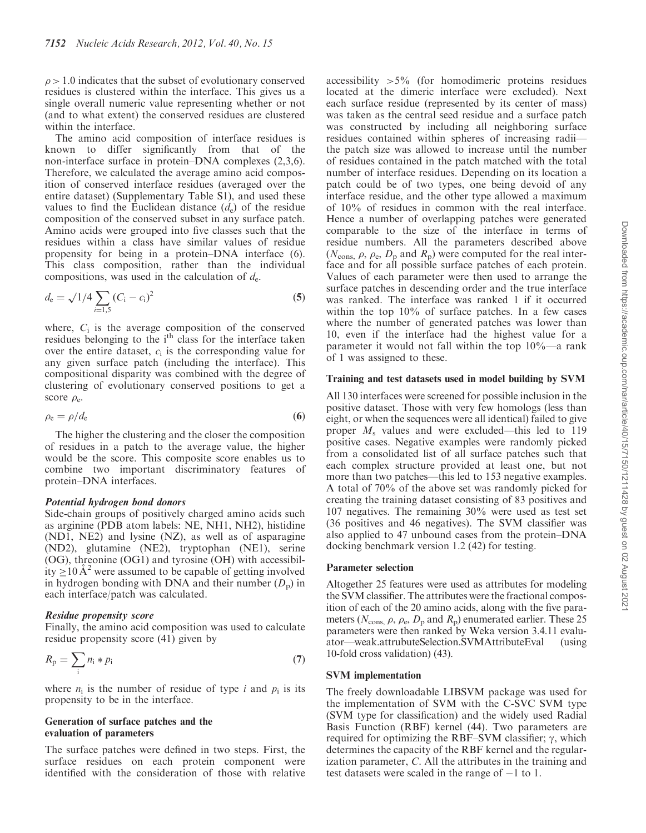$\rho$  > 1.0 indicates that the subset of evolutionary conserved residues is clustered within the interface. This gives us a single overall numeric value representing whether or not (and to what extent) the conserved residues are clustered within the interface.

The amino acid composition of interface residues is known to differ significantly from that of the non-interface surface in protein–DNA complexes (2,3,6). Therefore, we calculated the average amino acid composition of conserved interface residues (averaged over the entire dataset) (Supplementary Table S1), and used these values to find the Euclidean distance  $(d_e)$  of the residue composition of the conserved subset in any surface patch. Amino acids were grouped into five classes such that the residues within a class have similar values of residue propensity for being in a protein–DNA interface (6). This class composition, rather than the individual compositions, was used in the calculation of *d*<sup>e</sup> .

$$
d_{\rm e} = \sqrt{1/4} \sum_{i=1,5} (C_{\rm i} - c_{\rm i})^2
$$
 (5)

where,  $C_i$  is the average composition of the conserved residues belonging to the i<sup>th</sup> class for the interface taken over the entire dataset,  $c_i$  is the corresponding value for any given surface patch (including the interface). This compositional disparity was combined with the degree of clustering of evolutionary conserved positions to get a score  $\rho_e$ .

$$
\rho_{\rm e} = \rho/d_{\rm e} \tag{6}
$$

The higher the clustering and the closer the composition of residues in a patch to the average value, the higher would be the score. This composite score enables us to combine two important discriminatory features of protein–DNA interfaces.

#### Potential hydrogen bond donors

Side-chain groups of positively charged amino acids such as arginine (PDB atom labels: NE, NH1, NH2), histidine (ND1, NE2) and lysine (NZ), as well as of asparagine (ND2), glutamine (NE2), tryptophan (NE1), serine (OG), threonine (OG1) and tyrosine (OH) with accessibility  $\geq 10 \text{ Å}^2$  were assumed to be capable of getting involved in hydrogen bonding with DNA and their number  $(D_p)$  in each interface/patch was calculated.

#### Residue propensity score

Finally, the amino acid composition was used to calculate residue propensity score (41) given by

$$
R_{\rm p} = \sum_{\rm i} n_{\rm i} * p_{\rm i} \tag{7}
$$

where  $n_i$  is the number of residue of type *i* and  $p_i$  is its propensity to be in the interface.

## Generation of surface patches and the evaluation of parameters

The surface patches were defined in two steps. First, the surface residues on each protein component were identified with the consideration of those with relative

accessibility  $>5\%$  (for homodimeric proteins residues located at the dimeric interface were excluded). Next each surface residue (represented by its center of mass) was taken as the central seed residue and a surface patch was constructed by including all neighboring surface residues contained within spheres of increasing radii the patch size was allowed to increase until the number of residues contained in the patch matched with the total number of interface residues. Depending on its location a patch could be of two types, one being devoid of any interface residue, and the other type allowed a maximum of 10% of residues in common with the real interface. Hence a number of overlapping patches were generated comparable to the size of the interface in terms of residue numbers. All the parameters described above  $(N_{\text{cons}, \rho}, \rho_{\text{e}}, D_{\text{p}})$  and  $R_{\text{p}}$ ) were computed for the real interface and for all possible surface patches of each protein. Values of each parameter were then used to arrange the surface patches in descending order and the true interface was ranked. The interface was ranked 1 if it occurred within the top 10% of surface patches. In a few cases where the number of generated patches was lower than 10, even if the interface had the highest value for a parameter it would not fall within the top 10%—a rank of 1 was assigned to these.

#### Training and test datasets used in model building by SVM

All 130 interfaces were screened for possible inclusion in the positive dataset. Those with very few homologs (less than eight, or when the sequences were all identical) failed to give proper  $M_s$  values and were excluded—this led to 119 positive cases. Negative examples were randomly picked from a consolidated list of all surface patches such that each complex structure provided at least one, but not more than two patches—this led to 153 negative examples. A total of 70% of the above set was randomly picked for creating the training dataset consisting of 83 positives and 107 negatives. The remaining 30% were used as test set (36 positives and 46 negatives). The SVM classifier was also applied to 47 unbound cases from the protein–DNA docking benchmark version 1.2 (42) for testing.

#### Parameter selection

Altogether 25 features were used as attributes for modeling the SVM classifier. The attributes were the fractional composition of each of the 20 amino acids, along with the five parameters ( $N_{\text{cons}}$ ,  $\rho$ ,  $\rho_{\text{e}}$ ,  $D_{\text{p}}$  and  $R_{\text{p}}$ ) enumerated earlier. These 25 parameters were then ranked by Weka version 3.4.11 evaluator—weak.attrubuteSelection.SVMAttributeEval (using 10-fold cross validation) (43).

## SVM implementation

The freely downloadable LIBSVM package was used for the implementation of SVM with the C-SVC SVM type (SVM type for classification) and the widely used Radial Basis Function (RBF) kernel (44). Two parameters are required for optimizing the RBF–SVM classifier;  $\gamma$ , which determines the capacity of the RBF kernel and the regularization parameter, *C*. All the attributes in the training and test datasets were scaled in the range of  $-1$  to 1.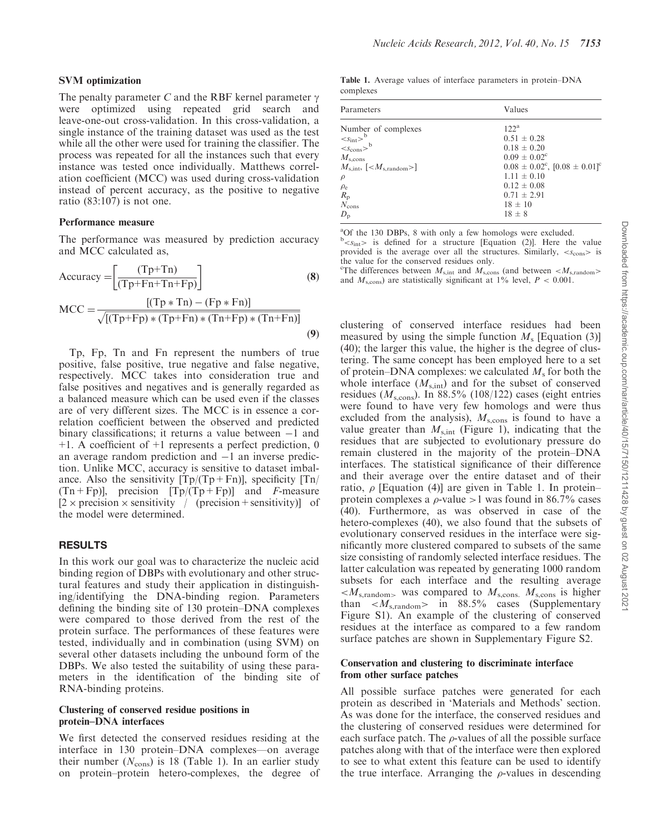### SVM optimization

The penalty parameter *C* and the RBF kernel parameter  $\gamma$ were optimized using repeated grid search and leave-one-out cross-validation. In this cross-validation, a single instance of the training dataset was used as the test while all the other were used for training the classifier. The process was repeated for all the instances such that every instance was tested once individually. Matthews correlation coefficient (MCC) was used during cross-validation instead of percent accuracy, as the positive to negative ratio (83:107) is not one.

## Performance measure

The performance was measured by prediction accuracy and MCC calculated as,

$$
Accuracy = \left[ \frac{(Tp+Tn)}{(Tp+Fn+Tn+Fp)} \right]
$$
\n
$$
[(Tn*Tn) - (Fn*Fn)]
$$
\n(8)

$$
MCC = \frac{[(Tp * Tn) - (Fp * Fn)]}{\sqrt{[(Tp + Fp) * (Tp + Fn) * (Tn + Fp) * (Tn + Fn)]}}
$$
(9)

Tp, Fp, Tn and Fn represent the numbers of true positive, false positive, true negative and false negative, respectively. MCC takes into consideration true and false positives and negatives and is generally regarded as a balanced measure which can be used even if the classes are of very different sizes. The MCC is in essence a correlation coefficient between the observed and predicted binary classifications; it returns a value between  $-1$  and +1. A coefficient of +1 represents a perfect prediction, 0 an average random prediction and  $-1$  an inverse prediction. Unlike MCC, accuracy is sensitive to dataset imbalance. Also the sensitivity  $[Tp/(Tp+Fn)]$ , specificity  $[Tn/$  $(Tn+Fp)$ , precision  $[Tp/(Tp+Fp)]$  and *F*-measure  $[2 \times \text{precision} \times \text{sensitivity}$  / (precision + sensitivity)] of the model were determined.

# RESULTS

In this work our goal was to characterize the nucleic acid binding region of DBPs with evolutionary and other structural features and study their application in distinguishing/identifying the DNA-binding region. Parameters defining the binding site of 130 protein–DNA complexes were compared to those derived from the rest of the protein surface. The performances of these features were tested, individually and in combination (using SVM) on several other datasets including the unbound form of the DBPs. We also tested the suitability of using these parameters in the identification of the binding site of RNA-binding proteins.

## Clustering of conserved residue positions in protein–DNA interfaces

We first detected the conserved residues residing at the interface in 130 protein–DNA complexes—on average their number  $(N_{\text{cons}})$  is 18 (Table 1). In an earlier study on protein–protein hetero-complexes, the degree of

Table 1. Average values of interface parameters in protein–DNA complexes

| Parameters                                                                                                                                                                         | Values                                                                                                                                                                                                                         |
|------------------------------------------------------------------------------------------------------------------------------------------------------------------------------------|--------------------------------------------------------------------------------------------------------------------------------------------------------------------------------------------------------------------------------|
| Number of complexes<br>$\frac{^{b}}{^{b}}$<br>$M_{\rm s,cons}$<br>$M_{\rm s,int}$ , [< $M_{\rm s.random}$ >]<br>$\rho$<br>$\rho_e$<br>$R_{\rm p}$<br>$N_{\rm cons}$<br>$D_{\rm p}$ | 122 <sup>a</sup><br>$0.51 \pm 0.28$<br>$0.18 \pm 0.20$<br>$0.09 \pm 0.02^{\circ}$<br>$0.08 \pm 0.02^{\circ}$ , $[0.08 \pm 0.01]^{\circ}$<br>$1.11 \pm 0.10$<br>$0.12 \pm 0.08$<br>$0.71 \pm 2.91$<br>$18 \pm 10$<br>$18 \pm 8$ |

<sup>a</sup>Of the 130 DBPs, 8 with only a few homologs were excluded.  $b<sub>*S*<sub>int</sub></sub>$  is defined for a structure [Equation (2)]. Here the value provided is the average over all the structures. Similarly,  $\langle s_{\text{cons}} \rangle$  is the value for the conserved residues only.

<sup>c</sup>The differences between  $M_{s,int}$  and  $M_{s,cons}$  (and between  $$ and  $M_{\text{s,cons}}$ ) are statistically significant at  $1\%$  level,  $P < 0.001$ .

clustering of conserved interface residues had been measured by using the simple function  $M<sub>s</sub>$  [Equation (3)] (40); the larger this value, the higher is the degree of clustering. The same concept has been employed here to a set of protein–DNA complexes: we calculated  $M<sub>s</sub>$  for both the whole interface  $(M_{s,int})$  and for the subset of conserved residues ( $M_{\rm s,cons}$ ). In 88.5% (108/122) cases (eight entries were found to have very few homologs and were thus excluded from the analysis),  $M_{\text{s,cons}}$  is found to have a value greater than  $M_{s,int}$  (Figure 1), indicating that the residues that are subjected to evolutionary pressure do remain clustered in the majority of the protein–DNA interfaces. The statistical significance of their difference and their average over the entire dataset and of their ratio,  $\rho$  [Equation (4)] are given in Table 1. In protein– protein complexes a  $\rho$ -value > 1 was found in 86.7% cases (40). Furthermore, as was observed in case of the hetero-complexes (40), we also found that the subsets of evolutionary conserved residues in the interface were significantly more clustered compared to subsets of the same size consisting of randomly selected interface residues. The latter calculation was repeated by generating 1000 random subsets for each interface and the resulting average  $was compared to  $M_{s, \text{cons}}$ .  $M_{s, \text{cons}}$  is higher$ than <*M*s,random> in 88.5% cases (Supplementary Figure S1). An example of the clustering of conserved residues at the interface as compared to a few random surface patches are shown in Supplementary Figure S2.

## Conservation and clustering to discriminate interface from other surface patches

All possible surface patches were generated for each protein as described in 'Materials and Methods' section. As was done for the interface, the conserved residues and the clustering of conserved residues were determined for each surface patch. The  $\rho$ -values of all the possible surface patches along with that of the interface were then explored to see to what extent this feature can be used to identify the true interface. Arranging the  $\rho$ -values in descending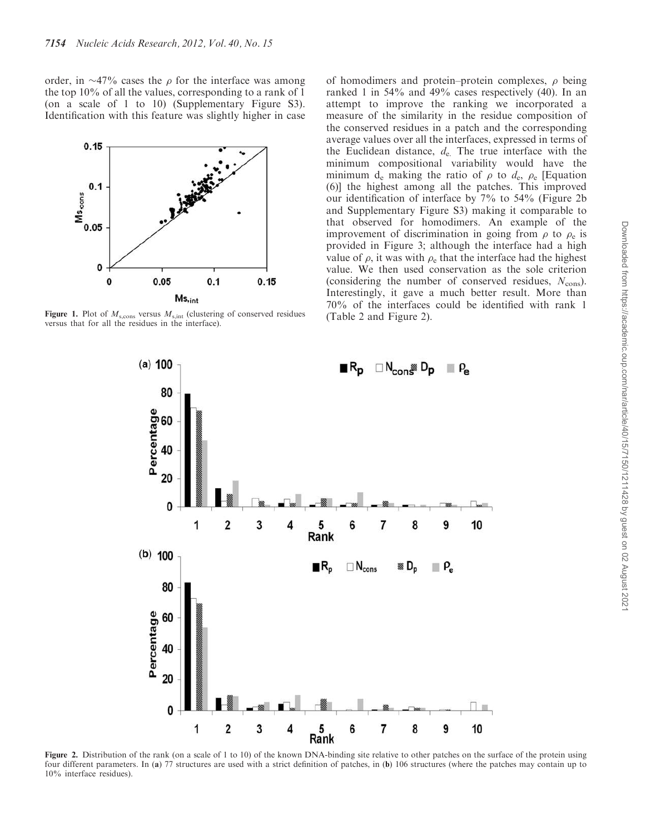order, in  $\sim$ 47% cases the  $\rho$  for the interface was among the top 10% of all the values, corresponding to a rank of 1 (on a scale of 1 to 10) (Supplementary Figure S3). Identification with this feature was slightly higher in case



Figure 1. Plot of  $M_{\rm s,cons}$  versus  $M_{\rm s,int}$  (clustering of conserved residues versus that for all the residues in the interface).

of homodimers and protein–protein complexes,  $\rho$  being ranked 1 in 54% and 49% cases respectively (40). In an attempt to improve the ranking we incorporated a measure of the similarity in the residue composition of the conserved residues in a patch and the corresponding average values over all the interfaces, expressed in terms of the Euclidean distance,  $d_e$ . The true interface with the minimum compositional variability would have the minimum  $d_e$  making the ratio of  $\rho$  to  $d_e$ ,  $\rho_e$  [Equation (6)] the highest among all the patches. This improved our identification of interface by 7% to 54% (Figure 2b and Supplementary Figure S3) making it comparable to that observed for homodimers. An example of the improvement of discrimination in going from  $\rho$  to  $\rho_e$  is provided in Figure 3; although the interface had a high value of  $\rho$ , it was with  $\rho_e$  that the interface had the highest value. We then used conservation as the sole criterion (considering the number of conserved residues,  $N_{\text{cons}}$ ). Interestingly, it gave a much better result. More than 70% of the interfaces could be identified with rank 1 (Table 2 and Figure 2).



Figure 2. Distribution of the rank (on a scale of 1 to 10) of the known DNA-binding site relative to other patches on the surface of the protein using four different parameters. In (a) 77 structures are used with a strict definition of patches, in (b) 106 structures (where the patches may contain up to 10% interface residues).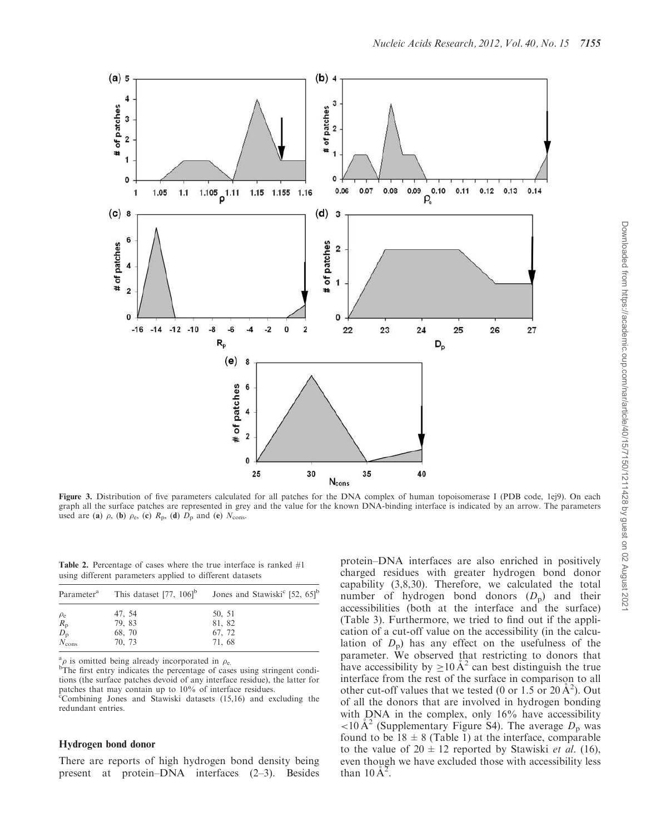

Figure 3. Distribution of five parameters calculated for all patches for the DNA complex of human topoisomerase I (PDB code, 1ej9). On each graph all the surface patches are represented in grey and the value for the known DNA-binding interface is indicated by an arrow. The parameters used are (a)  $\rho$ , (b)  $\rho_e$ , (c)  $R_p$ , (d)  $D_p$  and (e)  $N_{cons}$ .

Table 2. Percentage of cases where the true interface is ranked #1 using different parameters applied to different datasets

|                      | Parameter <sup>a</sup> This dataset [77, $106$ <sup>b</sup> ] | Jones and Stawiski <sup>c</sup> [52, 65] <sup>b</sup> |  |  |
|----------------------|---------------------------------------------------------------|-------------------------------------------------------|--|--|
| $\rho_e$             | 47, 54                                                        | 50, 51                                                |  |  |
| $R_{\rm p}$          | 79, 83                                                        | 81, 82                                                |  |  |
| $D_{\rm p}$          | 68, 70                                                        | 67, 72                                                |  |  |
| $\dot{N_{\rm cons}}$ | 70, 73                                                        | 71, 68                                                |  |  |

 $\int_{1}^{a} \rho$  is omitted being already incorporated in  $\rho_e$ .

bThe first entry indicates the percentage of cases using stringent conditions (the surface patches devoid of any interface residue), the latter for patches that may contain up to 10% of interface residues. <sup>c</sup>Combining Jones and Stawiski datasets (15,16) and excluding the redundant entries.

## Hydrogen bond donor

There are reports of high hydrogen bond density being present at protein–DNA interfaces (2–3). Besides protein–DNA interfaces are also enriched in positively charged residues with greater hydrogen bond donor capability (3,8,30). Therefore, we calculated the total number of hydrogen bond donors  $(D_p)$  and their accessibilities (both at the interface and the surface) (Table 3). Furthermore, we tried to find out if the application of a cut-off value on the accessibility (in the calculation of  $D_p$ ) has any effect on the usefulness of the parameter. We observed that restricting to donors that have accessibility by  $\geq 10 \text{ Å}^2$  can best distinguish the true interface from the rest of the surface in comparison to all other cut-off values that we tested (0 or 1.5 or 20  $\AA^2$ ). Out of all the donors that are involved in hydrogen bonding with DNA in the complex, only 16% have accessibility <10 Å<sup>2</sup> (Supplementary Figure S4). The average  $D_p$  was found to be  $18 \pm 8$  (Table 1) at the interface, comparable to the value of  $20 \pm 12$  reported by Stawiski *et al.* (16), even though we have excluded those with accessibility less than  $10 \text{ Å}^2$ .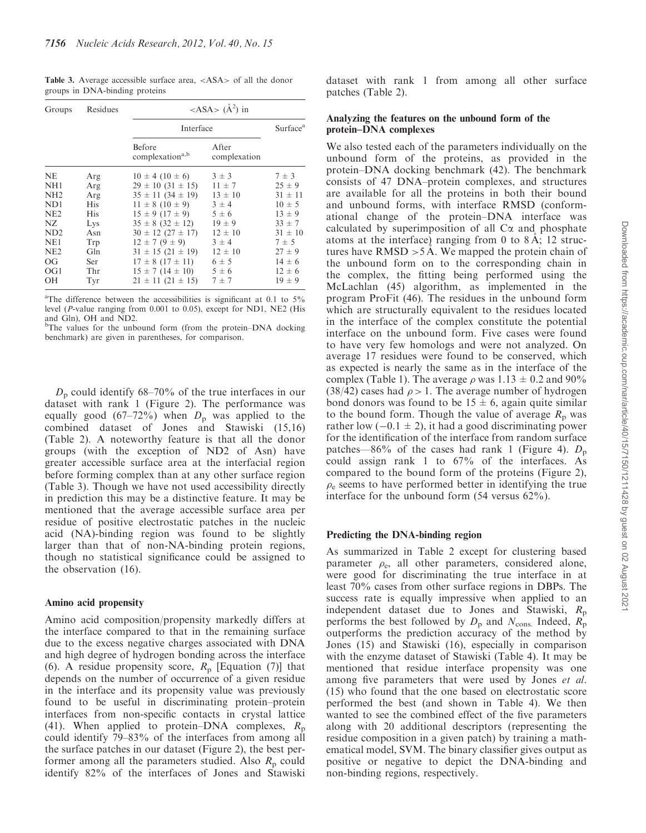Table 3. Average accessible surface area, <ASA> of all the donor groups in DNA-binding proteins

| Groups                                                                                                                                     | Residues                                                                                | <asa> <math>(A^2)</math> in</asa>                                                                                                                                                                                                                                                                                                  |                                                                                                                                                                |                                                                                                                                                                      |  |  |
|--------------------------------------------------------------------------------------------------------------------------------------------|-----------------------------------------------------------------------------------------|------------------------------------------------------------------------------------------------------------------------------------------------------------------------------------------------------------------------------------------------------------------------------------------------------------------------------------|----------------------------------------------------------------------------------------------------------------------------------------------------------------|----------------------------------------------------------------------------------------------------------------------------------------------------------------------|--|--|
|                                                                                                                                            |                                                                                         | Interface                                                                                                                                                                                                                                                                                                                          | Surface <sup>a</sup>                                                                                                                                           |                                                                                                                                                                      |  |  |
|                                                                                                                                            |                                                                                         | Before<br>complexation <sup>a,b</sup>                                                                                                                                                                                                                                                                                              | After<br>complexation                                                                                                                                          |                                                                                                                                                                      |  |  |
| NE.<br>NH <sub>1</sub><br>NH2<br>ND <sub>1</sub><br>NE <sub>2</sub><br>NZ.<br>ND <sub>2</sub><br>NE1<br>NE <sub>2</sub><br>OG<br>OG1<br>OН | Arg<br>Arg<br>Arg<br>His<br><b>His</b><br>Lys<br>Asn<br>Trp<br>Gln<br>Ser<br>Thr<br>Tyr | $10 \pm 4 (10 \pm 6)$<br>$29 \pm 10$ (31 $\pm$ 15)<br>$35 \pm 11$ (34 $\pm$ 19)<br>$11 \pm 8 (10 \pm 9)$<br>$15 \pm 9 (17 \pm 9)$<br>$35 \pm 8$ (32 $\pm$ 12)<br>$30 \pm 12$ (27 $\pm$ 17)<br>$12 \pm 7 (9 \pm 9)$<br>$31 \pm 15$ (21 $\pm$ 19)<br>$17 \pm 8$ (17 $\pm$ 11)<br>$15 \pm 7(14 \pm 10)$<br>$21 \pm 11$ (21 $\pm 15$ ) | $3 \pm 3$<br>$11 \pm 7$<br>$13 \pm 10$<br>$3 \pm 4$<br>$5\pm 6$<br>$19 \pm 9$<br>$12 \pm 10$<br>$3 \pm 4$<br>$12 \pm 10$<br>$6 \pm 5$<br>$5\pm 6$<br>$7 \pm 7$ | $7 \pm 3$<br>$25 \pm 9$<br>$31 \pm 11$<br>$10 \pm 5$<br>$13 \pm 9$<br>$33 \pm 7$<br>$31 \pm 10$<br>$7 \pm 5$<br>$27 \pm 9$<br>$14 \pm 6$<br>$12 \pm 6$<br>$19 \pm 9$ |  |  |

<sup>a</sup>The difference between the accessibilities is significant at 0.1 to 5% level (*P*-value ranging from 0.001 to 0.05), except for ND1, NE2 (His and Gln), OH and ND2.

<sup>b</sup>The values for the unbound form (from the protein–DNA docking benchmark) are given in parentheses, for comparison.

 $D<sub>p</sub>$  could identify 68–70% of the true interfaces in our dataset with rank 1 (Figure 2). The performance was equally good (67–72%) when  $D_p$  was applied to the combined dataset of Jones and Stawiski (15,16) (Table 2). A noteworthy feature is that all the donor groups (with the exception of ND2 of Asn) have greater accessible surface area at the interfacial region before forming complex than at any other surface region (Table 3). Though we have not used accessibility directly in prediction this may be a distinctive feature. It may be mentioned that the average accessible surface area per residue of positive electrostatic patches in the nucleic acid (NA)-binding region was found to be slightly larger than that of non-NA-binding protein regions, though no statistical significance could be assigned to the observation (16).

## Amino acid propensity

Amino acid composition/propensity markedly differs at the interface compared to that in the remaining surface due to the excess negative charges associated with DNA and high degree of hydrogen bonding across the interface (6). A residue propensity score,  $R_p$  [Equation (7)] that depends on the number of occurrence of a given residue in the interface and its propensity value was previously found to be useful in discriminating protein–protein interfaces from non-specific contacts in crystal lattice (41). When applied to protein–DNA complexes,  $R_p$ could identify 79–83% of the interfaces from among all the surface patches in our dataset (Figure 2), the best performer among all the parameters studied. Also  $R_p$  could identify 82% of the interfaces of Jones and Stawiski

dataset with rank 1 from among all other surface patches (Table 2).

## Analyzing the features on the unbound form of the protein–DNA complexes

We also tested each of the parameters individually on the unbound form of the proteins, as provided in the protein–DNA docking benchmark (42). The benchmark consists of 47 DNA–protein complexes, and structures are available for all the proteins in both their bound and unbound forms, with interface RMSD (conformational change of the protein–DNA interface was calculated by superimposition of all  $C\alpha$  and phosphate atoms at the interface) ranging from 0 to 8 $\AA$ ; 12 structures have RMSD > 5 Å. We mapped the protein chain of the unbound form on to the corresponding chain in the complex, the fitting being performed using the McLachlan (45) algorithm, as implemented in the program ProFit (46). The residues in the unbound form which are structurally equivalent to the residues located in the interface of the complex constitute the potential interface on the unbound form. Five cases were found to have very few homologs and were not analyzed. On average 17 residues were found to be conserved, which as expected is nearly the same as in the interface of the complex (Table 1). The average  $\rho$  was  $1.13 \pm 0.2$  and  $90\%$  $(38/42)$  cases had  $\rho > 1$ . The average number of hydrogen bond donors was found to be  $15 \pm 6$ , again quite similar to the bound form. Though the value of average  $R_p$  was rather low  $(-0.1 \pm 2)$ , it had a good discriminating power for the identification of the interface from random surface patches—86% of the cases had rank 1 (Figure 4).  $D_p$ could assign rank 1 to 67% of the interfaces. As compared to the bound form of the proteins (Figure 2),  $\rho_e$  seems to have performed better in identifying the true interface for the unbound form (54 versus 62%).

#### Predicting the DNA-binding region

As summarized in Table 2 except for clustering based parameter  $\rho_e$ , all other parameters, considered alone, were good for discriminating the true interface in at least 70% cases from other surface regions in DBPs. The success rate is equally impressive when applied to an independent dataset due to Jones and Stawiski,  $R_p$ performs the best followed by  $D_p$  and  $N_{\text{cons.}}$  Indeed,  $R_p$ outperforms the prediction accuracy of the method by Jones (15) and Stawiski (16), especially in comparison with the enzyme dataset of Stawiski (Table 4). It may be mentioned that residue interface propensity was one among five parameters that were used by Jones *et al.* (15) who found that the one based on electrostatic score performed the best (and shown in Table 4). We then wanted to see the combined effect of the five parameters along with 20 additional descriptors (representing the residue composition in a given patch) by training a mathematical model, SVM. The binary classifier gives output as positive or negative to depict the DNA-binding and non-binding regions, respectively.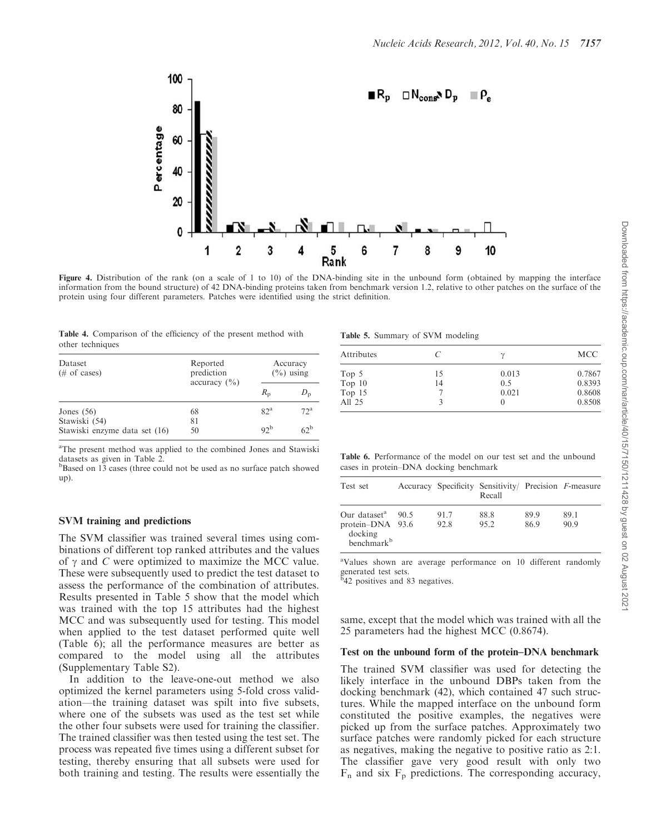

Figure 4. Distribution of the rank (on a scale of 1 to 10) of the DNA-binding site in the unbound form (obtained by mapping the interface information from the bound structure) of 42 DNA-binding proteins taken from benchmark version 1.2, relative to other patches on the surface of the protein using four different parameters. Patches were identified using the strict definition.

|  | Table 4. Comparison of the efficiency of the present method with |  |  |  |  |
|--|------------------------------------------------------------------|--|--|--|--|
|  | other techniques                                                 |  |  |  |  |

| Dataset<br>$(\# \text{ of cases})$             | Reported<br>prediction<br>accuracy $(\% )$ | Accuracy<br>$\left(\frac{0}{0}\right)$ using |                   |  |
|------------------------------------------------|--------------------------------------------|----------------------------------------------|-------------------|--|
|                                                |                                            | $R_{\rm p}$                                  |                   |  |
| Jones $(56)$                                   | 68                                         | 82 <sup>a</sup>                              | $72^{\mathrm{a}}$ |  |
| Stawiski (54)<br>Stawiski enzyme data set (16) | 81<br>50                                   | 92 <sup>b</sup>                              | $62^{\circ}$      |  |

<sup>a</sup>The present method was applied to the combined Jones and Stawiski datasets as given in Table 2.

<sup>b</sup>Based on 13 cases (three could not be used as no surface patch showed up).

## SVM training and predictions

The SVM classifier was trained several times using combinations of different top ranked attributes and the values of  $\gamma$  and *C* were optimized to maximize the MCC value. These were subsequently used to predict the test dataset to assess the performance of the combination of attributes. Results presented in Table 5 show that the model which was trained with the top 15 attributes had the highest MCC and was subsequently used for testing. This model when applied to the test dataset performed quite well (Table 6); all the performance measures are better as compared to the model using all the attributes (Supplementary Table S2).

In addition to the leave-one-out method we also optimized the kernel parameters using 5-fold cross validation—the training dataset was spilt into five subsets, where one of the subsets was used as the test set while the other four subsets were used for training the classifier. The trained classifier was then tested using the test set. The process was repeated five times using a different subset for testing, thereby ensuring that all subsets were used for both training and testing. The results were essentially the

Table 5. Summary of SVM modeling

| Attributes |    | $\gamma$ | <b>MCC</b> |
|------------|----|----------|------------|
| Top 5      | 15 | 0.013    | 0.7867     |
| Top $10$   | 14 | 0.5      | 0.8393     |
| Top 15     |    | 0.021    | 0.8608     |
| All 25     |    |          | 0.8508     |

Table 6. Performance of the model on our test set and the unbound cases in protein–DNA docking benchmark

| Test set                                                                          |      |              | Accuracy Specificity Sensitivity/ Precision F-measure<br>Recall |              |              |
|-----------------------------------------------------------------------------------|------|--------------|-----------------------------------------------------------------|--------------|--------------|
| Our dataset <sup>a</sup><br>protein-DNA 93.6<br>docking<br>benchmark <sup>b</sup> | 90.5 | 91.7<br>92.8 | 88.8<br>95.2                                                    | 89.9<br>86.9 | 89.1<br>90.9 |

<sup>a</sup>Values shown are average performance on 10 different randomly generated test sets. b 42 positives and 83 negatives.

same, except that the model which was trained with all the 25 parameters had the highest MCC (0.8674).

#### Test on the unbound form of the protein–DNA benchmark

The trained SVM classifier was used for detecting the likely interface in the unbound DBPs taken from the docking benchmark (42), which contained 47 such structures. While the mapped interface on the unbound form constituted the positive examples, the negatives were picked up from the surface patches. Approximately two surface patches were randomly picked for each structure as negatives, making the negative to positive ratio as 2:1. The classifier gave very good result with only two  $F_n$  and six  $F_p$  predictions. The corresponding accuracy,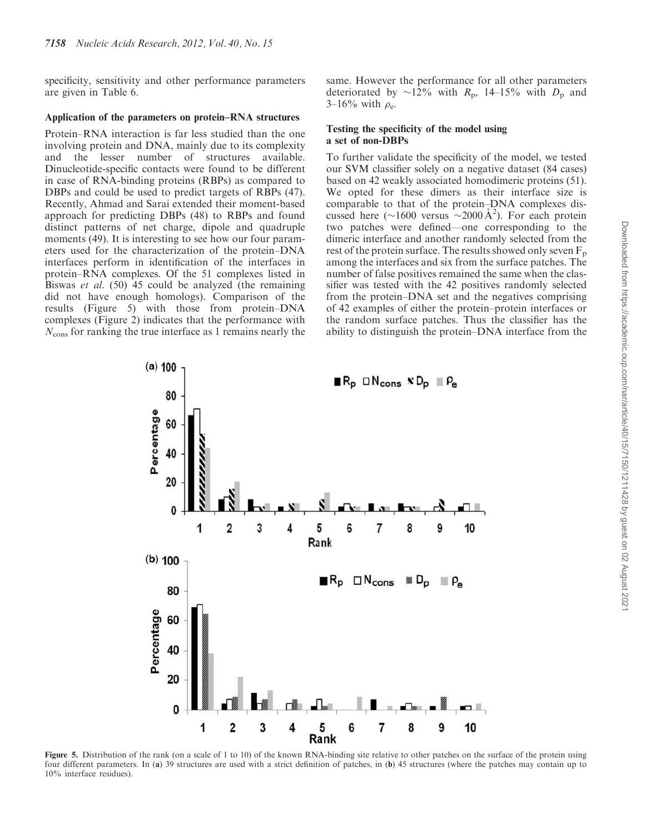specificity, sensitivity and other performance parameters are given in Table 6.

#### Application of the parameters on protein–RNA structures

Protein–RNA interaction is far less studied than the one involving protein and DNA, mainly due to its complexity and the lesser number of structures available. Dinucleotide-specific contacts were found to be different in case of RNA-binding proteins (RBPs) as compared to DBPs and could be used to predict targets of RBPs (47). Recently, Ahmad and Sarai extended their moment-based approach for predicting DBPs (48) to RBPs and found distinct patterns of net charge, dipole and quadruple moments (49). It is interesting to see how our four parameters used for the characterization of the protein–DNA interfaces perform in identification of the interfaces in protein–RNA complexes. Of the 51 complexes listed in Biswas *et al.* (50) 45 could be analyzed (the remaining did not have enough homologs). Comparison of the results (Figure 5) with those from protein–DNA complexes (Figure 2) indicates that the performance with *N*cons for ranking the true interface as 1 remains nearly the

same. However the performance for all other parameters deteriorated by  $\sim$ 12% with *R*<sub>p</sub>, 14–15% with *D*<sub>p</sub> and 3–16% with  $\rho_e$ .

## Testing the specificity of the model using a set of non-DBPs

To further validate the specificity of the model, we tested our SVM classifier solely on a negative dataset (84 cases) based on 42 weakly associated homodimeric proteins (51). We opted for these dimers as their interface size is comparable to that of the protein–DNA complexes discussed here (~1600 versus ~2000 Å<sup>2</sup>). For each protein two patches were defined—one corresponding to the dimeric interface and another randomly selected from the rest of the protein surface. The results showed only seven  $F_p$ among the interfaces and six from the surface patches. The number of false positives remained the same when the classifier was tested with the 42 positives randomly selected from the protein–DNA set and the negatives comprising of 42 examples of either the protein–protein interfaces or the random surface patches. Thus the classifier has the ability to distinguish the protein–DNA interface from the



Figure 5. Distribution of the rank (on a scale of 1 to 10) of the known RNA-binding site relative to other patches on the surface of the protein using four different parameters. In (a) 39 structures are used with a strict definition of patches, in (b) 45 structures (where the patches may contain up to 10% interface residues).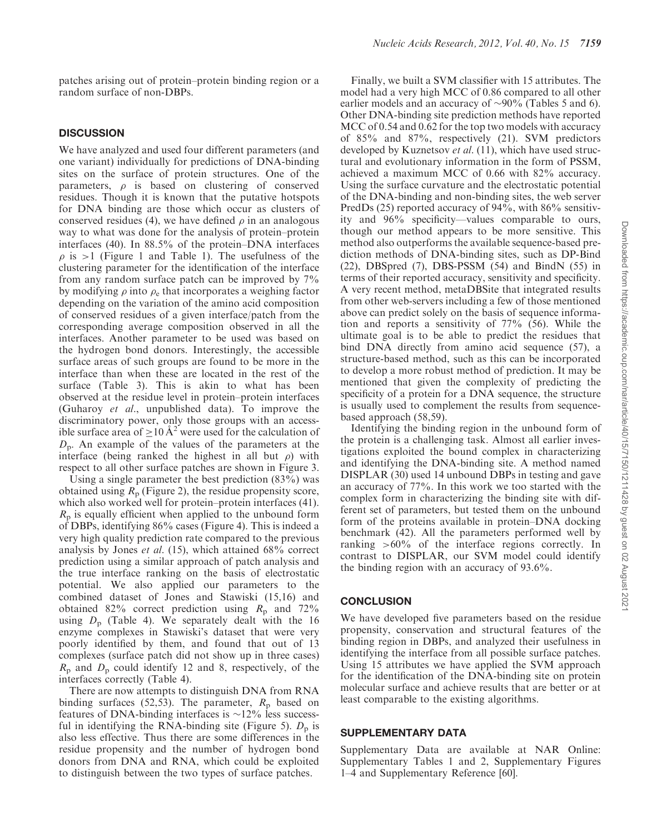patches arising out of protein–protein binding region or a random surface of non-DBPs.

# **DISCUSSION**

We have analyzed and used four different parameters (and one variant) individually for predictions of DNA-binding sites on the surface of protein structures. One of the parameters,  $\rho$  is based on clustering of conserved residues. Though it is known that the putative hotspots for DNA binding are those which occur as clusters of conserved residues (4), we have defined  $\rho$  in an analogous way to what was done for the analysis of protein–protein interfaces (40). In 88.5% of the protein–DNA interfaces  $\rho$  is >1 (Figure 1 and Table 1). The usefulness of the clustering parameter for the identification of the interface from any random surface patch can be improved by 7% by modifying  $\rho$  into  $\rho_e$  that incorporates a weighing factor depending on the variation of the amino acid composition of conserved residues of a given interface/patch from the corresponding average composition observed in all the interfaces. Another parameter to be used was based on the hydrogen bond donors. Interestingly, the accessible surface areas of such groups are found to be more in the interface than when these are located in the rest of the surface (Table 3). This is akin to what has been observed at the residue level in protein–protein interfaces (Guharoy *et al*., unpublished data). To improve the discriminatory power, only those groups with an accessible surface area of  $\geq 10 \text{ Å}^2$  were used for the calculation of *D*<sub>p</sub>. An example of the values of the parameters at the interface (being ranked the highest in all but  $\rho$ ) with respect to all other surface patches are shown in Figure 3.

Using a single parameter the best prediction (83%) was obtained using  $R_p$  (Figure 2), the residue propensity score, which also worked well for protein–protein interfaces (41). *R*<sub>p</sub> is equally efficient when applied to the unbound form of DBPs, identifying 86% cases (Figure 4). This is indeed a very high quality prediction rate compared to the previous analysis by Jones *et al.* (15), which attained 68% correct prediction using a similar approach of patch analysis and the true interface ranking on the basis of electrostatic potential. We also applied our parameters to the combined dataset of Jones and Stawiski (15,16) and obtained 82% correct prediction using  $R_p$  and 72% using  $D_p$  (Table 4). We separately dealt with the 16 enzyme complexes in Stawiski's dataset that were very poorly identified by them, and found that out of 13 complexes (surface patch did not show up in three cases)  $R_p$  and  $D_p$  could identify 12 and 8, respectively, of the interfaces correctly (Table 4).

There are now attempts to distinguish DNA from RNA binding surfaces (52,53). The parameter,  $R_p$  based on features of DNA-binding interfaces is  $\sim$ 12% less successful in identifying the RNA-binding site (Figure 5).  $D_p$  is also less effective. Thus there are some differences in the residue propensity and the number of hydrogen bond donors from DNA and RNA, which could be exploited to distinguish between the two types of surface patches.

Finally, we built a SVM classifier with 15 attributes. The model had a very high MCC of 0.86 compared to all other earlier models and an accuracy of  $\sim 90\%$  (Tables 5 and 6). Other DNA-binding site prediction methods have reported MCC of 0.54 and 0.62 for the top two models with accuracy of 85% and 87%, respectively (21). SVM predictors developed by Kuznetsov *et al*. (11), which have used structural and evolutionary information in the form of PSSM, achieved a maximum MCC of 0.66 with 82% accuracy. Using the surface curvature and the electrostatic potential of the DNA-binding and non-binding sites, the web server PredDs (25) reported accuracy of 94%, with 86% sensitivity and 96% specificity—values comparable to ours, though our method appears to be more sensitive. This method also outperforms the available sequence-based prediction methods of DNA-binding sites, such as DP-Bind  $(22)$ , DBSpred  $(7)$ , DBS-PSSM  $(54)$  and BindN  $(55)$  in terms of their reported accuracy, sensitivity and specificity. A very recent method, metaDBSite that integrated results from other web-servers including a few of those mentioned above can predict solely on the basis of sequence information and reports a sensitivity of 77% (56). While the ultimate goal is to be able to predict the residues that bind DNA directly from amino acid sequence (57), a structure-based method, such as this can be incorporated to develop a more robust method of prediction. It may be mentioned that given the complexity of predicting the specificity of a protein for a DNA sequence, the structure is usually used to complement the results from sequencebased approach (58,59).

Identifying the binding region in the unbound form of the protein is a challenging task. Almost all earlier investigations exploited the bound complex in characterizing and identifying the DNA-binding site. A method named DISPLAR (30) used 14 unbound DBPs in testing and gave an accuracy of 77%. In this work we too started with the complex form in characterizing the binding site with different set of parameters, but tested them on the unbound form of the proteins available in protein–DNA docking benchmark (42). All the parameters performed well by ranking >60% of the interface regions correctly. In contrast to DISPLAR, our SVM model could identify the binding region with an accuracy of 93.6%.

## **CONCLUSION**

We have developed five parameters based on the residue propensity, conservation and structural features of the binding region in DBPs, and analyzed their usefulness in identifying the interface from all possible surface patches. Using 15 attributes we have applied the SVM approach for the identification of the DNA-binding site on protein molecular surface and achieve results that are better or at least comparable to the existing algorithms.

#### SUPPLEMENTARY DATA

Supplementary Data are available at NAR Online: Supplementary Tables 1 and 2, Supplementary Figures 1–4 and Supplementary Reference [60].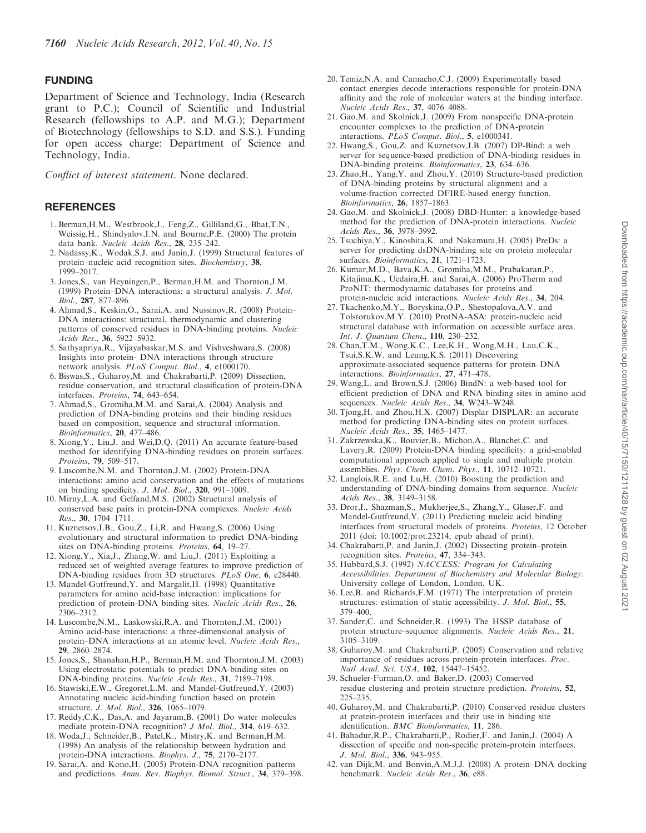## FUNDING

Department of Science and Technology, India (Research grant to P.C.); Council of Scientific and Industrial Research (fellowships to A.P. and M.G.); Department of Biotechnology (fellowships to S.D. and S.S.). Funding for open access charge: Department of Science and Technology, India.

*Conflict of interest statement*. None declared.

## **REFERENCES**

- 1. Berman,H.M., Westbrook,J., Feng,Z., Gilliland,G., Bhat,T.N., Weissig,H., Shindyalov,I.N. and Bourne,P.E. (2000) The protein data bank. *Nucleic Acids Res.*, 28, 235–242.
- 2. Nadassy,K., Wodak,S.J. and Janin,J. (1999) Structural features of protein–nucleic acid recognition sites. *Biochemistry*, 38, 1999–2017.
- 3. Jones,S., van Heyningen,P., Berman,H.M. and Thornton,J.M. (1999) Protein–DNA interactions: a structural analysis. *J. Mol. Biol.*, 287, 877–896.
- 4. Ahmad,S., Keskin,O., Sarai,A. and Nussinov,R. (2008) Protein– DNA interactions: structural, thermodynamic and clustering patterns of conserved residues in DNA-binding proteins. *Nucleic Acids Res.*, 36, 5922–5932.
- 5. Sathyapriya,R., Vijayabaskar,M.S. and Vishveshwara,S. (2008) Insights into protein- DNA interactions through structure network analysis. *PLoS Comput. Biol.*, 4, e1000170.
- 6. Biswas,S., Guharoy,M. and Chakrabarti,P. (2009) Dissection, residue conservation, and structural classification of protein-DNA interfaces. *Proteins*, 74, 643–654.
- 7. Ahmad,S., Gromiha,M.M. and Sarai,A. (2004) Analysis and prediction of DNA-binding proteins and their binding residues based on composition, sequence and structural information. *Bioinformatics*, 20, 477–486.
- 8. Xiong,Y., Liu,J. and Wei,D.Q. (2011) An accurate feature-based method for identifying DNA-binding residues on protein surfaces. *Proteins*, 79, 509–517.
- 9. Luscombe,N.M. and Thornton,J.M. (2002) Protein-DNA interactions: amino acid conservation and the effects of mutations on binding specificity. *J. Mol. Biol.*, 320, 991–1009.
- 10. Mirny,L.A. and Gelfand,M.S. (2002) Structural analysis of conserved base pairs in protein-DNA complexes. *Nucleic Acids Res.*, 30, 1704–1711.
- 11. Kuznetsov,I.B., Gou,Z., Li,R. and Hwang,S. (2006) Using evolutionary and structural information to predict DNA-binding sites on DNA-binding proteins. *Proteins*, 64, 19–27.
- 12. Xiong,Y., Xia,J., Zhang,W. and Liu,J. (2011) Exploiting a reduced set of weighted average features to improve prediction of DNA-binding residues from 3D structures. *PLoS One*, 6, e28440.
- 13. Mandel-Gutfreund,Y. and Margalit,H. (1998) Quantitative parameters for amino acid-base interaction: implications for prediction of protein-DNA binding sites. *Nucleic Acids Res.*, 26, 2306–2312.
- 14. Luscombe,N.M., Laskowski,R.A. and Thornton,J.M. (2001) Amino acid-base interactions: a three-dimensional analysis of protein–DNA interactions at an atomic level. *Nucleic Acids Res.*, 29, 2860–2874.
- 15. Jones,S., Shanahan,H.P., Berman,H.M. and Thornton,J.M. (2003) Using electrostatic potentials to predict DNA-binding sites on DNA-binding proteins. *Nucleic Acids Res.*, 31, 7189–7198.
- 16. Stawiski,E.W., Gregoret,L.M. and Mandel-Gutfreund,Y. (2003) Annotating nucleic acid-binding function based on protein structure. *J. Mol. Biol.*, 326, 1065–1079.
- 17. Reddy,C.K., Das,A. and Jayaram,B. (2001) Do water molecules mediate protein-DNA recognition? *J Mol. Biol.*, 314, 619–632.
- 18. Woda,J., Schneider,B., Patel,K., Mistry,K. and Berman,H.M. (1998) An analysis of the relationship between hydration and protein-DNA interactions. *Biophys. J.*, 75, 2170–2177.
- 19. Sarai,A. and Kono,H. (2005) Protein-DNA recognition patterns and predictions. *Annu. Rev. Biophys. Biomol. Struct.*, 34, 379–398.
- 20. Temiz,N.A. and Camacho,C.J. (2009) Experimentally based contact energies decode interactions responsible for protein-DNA affinity and the role of molecular waters at the binding interface. *Nucleic Acids Res.*, 37, 4076–4088.
- 21. Gao,M. and Skolnick,J. (2009) From nonspecific DNA-protein encounter complexes to the prediction of DNA-protein interactions. *PLoS Comput. Biol.*, 5, e1000341.
- 22. Hwang,S., Gou,Z. and Kuznetsov,I.B. (2007) DP-Bind: a web server for sequence-based prediction of DNA-binding residues in DNA-binding proteins. *Bioinformatics*, 23, 634–636.
- 23. Zhao,H., Yang,Y. and Zhou,Y. (2010) Structure-based prediction of DNA-binding proteins by structural alignment and a volume-fraction corrected DFIRE-based energy function. *Bioinformatics*, 26, 1857–1863.
- 24. Gao,M. and Skolnick,J. (2008) DBD-Hunter: a knowledge-based method for the prediction of DNA-protein interactions. *Nucleic Acids Res.*, 36, 3978–3992.
- 25. Tsuchiya,Y., Kinoshita,K. and Nakamura,H. (2005) PreDs: a server for predicting dsDNA-binding site on protein molecular surfaces. *Bioinformatics*, 21, 1721–1723.
- 26. Kumar,M.D., Bava,K.A., Gromiha,M.M., Prabakaran,P., Kitajima,K., Uedaira,H. and Sarai,A. (2006) ProTherm and ProNIT: thermodynamic databases for proteins and protein-nucleic acid interactions. *Nucleic Acids Res.*, 34, 204.
- 27. Tkachenko,M.Y., Boryskina,O.P., Shestopalova,A.V. and Tolstorukov,M.Y. (2010) ProtNA-ASA: protein-nucleic acid structural database with information on accessible surface area. *Int. J. Quantum Chem.*, 110, 230–232.
- 28. Chan,T.M., Wong,K.C., Lee,K.H., Wong,M.H., Lau,C.K., Tsui,S.K.W. and Leung,K.S. (2011) Discovering approximate-associated sequence patterns for protein–DNA interactions. *Bioinformatics*, 27, 471–478.
- 29. Wang,L. and Brown,S.J. (2006) BindN: a web-based tool for efficient prediction of DNA and RNA binding sites in amino acid sequences. *Nucleic Acids Res.*, 34, W243–W248.
- 30. Tjong,H. and Zhou,H.X. (2007) Displar DISPLAR: an accurate method for predicting DNA-binding sites on protein surfaces. *Nucleic Acids Res.*, 35, 1465–1477.
- 31. Zakrzewska,K., Bouvier,B., Michon,A., Blanchet,C. and Lavery,R. (2009) Protein-DNA binding specificity: a grid-enabled computational approach applied to single and multiple protein assemblies. *Phys. Chem. Chem. Phys.*, 11, 10712–10721.
- 32. Langlois,R.E. and Lu,H. (2010) Boosting the prediction and understanding of DNA-binding domains from sequence. *Nucleic Acids Res.*, 38, 3149–3158.
- 33. Dror,I., Shazman,S., Mukherjee,S., Zhang,Y., Glaser,F. and Mandel-Gutfreund,Y. (2011) Predicting nucleic acid binding interfaces from structural models of proteins. *Proteins*, 12 October 2011 (doi: 10.1002/prot.23214; epub ahead of print).
- 34. Chakrabarti,P. and Janin,J. (2002) Dissecting protein–protein recognition sites. *Proteins*, 47, 334–343.
- 35. Hubbard,S.J. (1992) *NACCESS: Program for Calculating Accessibilities. Department of Biochemistry and Molecular Biology*. University college of London, London, UK.
- 36. Lee,B. and Richards,F.M. (1971) The interpretation of protein structures: estimation of static accessibility. *J. Mol. Biol.*, 55, 379–400.
- 37. Sander,C. and Schneider,R. (1993) The HSSP database of protein structure–sequence alignments. *Nucleic Acids Res.*, 21, 3105–3109.
- 38. Guharoy,M. and Chakrabarti,P. (2005) Conservation and relative importance of residues across protein-protein interfaces. *Proc. Natl Acad. Sci. USA*, 102, 15447–15452.
- 39. Schueler-Furman,O. and Baker,D. (2003) Conserved residue clustering and protein structure prediction. *Proteins*, 52, 225–235.
- 40. Guharoy,M. and Chakrabarti,P. (2010) Conserved residue clusters at protein-protein interfaces and their use in binding site identification. *BMC Bioinformatics*, 11, 286.
- 41. Bahadur,R.P., Chakrabarti,P., Rodier,F. and Janin,J. (2004) A dissection of specific and non-specific protein-protein interfaces. *J. Mol. Biol.*, 336, 943–955.
- 42. van Dijk,M. and Bonvin,A.M.J.J. (2008) A protein–DNA docking benchmark. *Nucleic Acids Res.*, 36, e88.